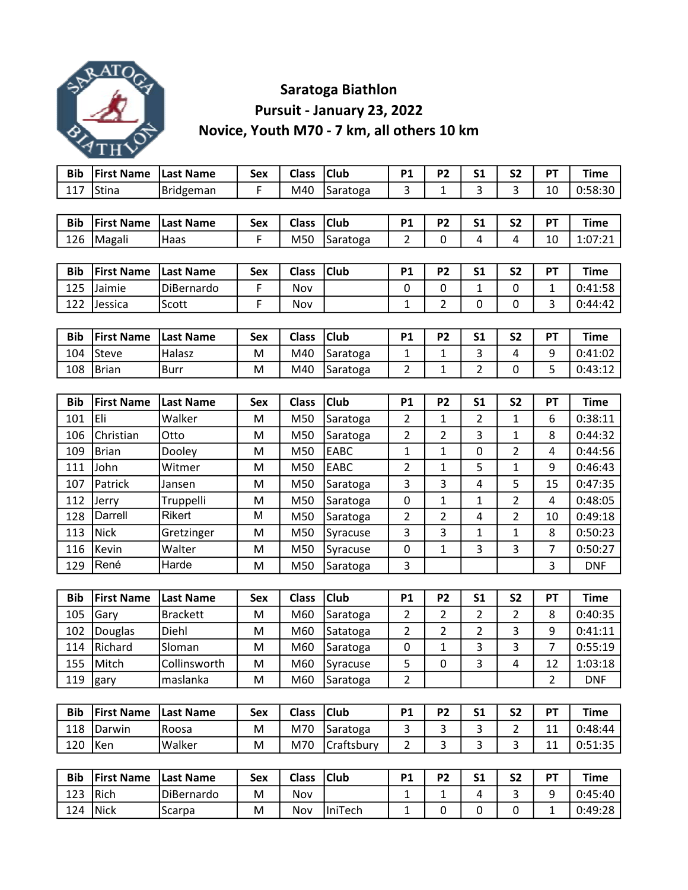

## Saratoga Biathlon Pursuit - January 23, 2022 Novice, Youth M70 - 7 km, all others 10 km

| <b>Bib</b> | <b>First Name</b> | <b>Last Name</b> | <b>Sex</b> | <b>Class</b> | <b>Club</b> | <b>P1</b>      | <b>P2</b>      | S <sub>1</sub> | <b>S2</b>      | PT             | <b>Time</b> |
|------------|-------------------|------------------|------------|--------------|-------------|----------------|----------------|----------------|----------------|----------------|-------------|
| 117        | Stina             | Bridgeman        | F          | M40          | Saratoga    | 3              | 1              | 3              | 3              | 10             | 0:58:30     |
|            |                   |                  |            |              |             |                |                |                |                |                |             |
| <b>Bib</b> | <b>First Name</b> | <b>Last Name</b> | Sex        | <b>Class</b> | <b>Club</b> | <b>P1</b>      | P <sub>2</sub> | S <sub>1</sub> | S <sub>2</sub> | PT             | <b>Time</b> |
| 126        | Magali            | Haas             | F          | M50          | Saratoga    | 2              | 0              | 4              | 4              | 10             | 1:07:21     |
|            |                   |                  |            |              |             |                |                |                |                |                |             |
| <b>Bib</b> | <b>First Name</b> | <b>Last Name</b> | <b>Sex</b> | <b>Class</b> | <b>Club</b> | <b>P1</b>      | <b>P2</b>      | S <sub>1</sub> | S <sub>2</sub> | PT             | <b>Time</b> |
| 125        | Jaimie            | DiBernardo       | F          | Nov          |             | 0              | 0              | 1              | 0              | 1              | 0:41:58     |
| 122        | Jessica           | Scott            | F          | Nov          |             | 1              | $\overline{2}$ | 0              | 0              | 3              | 0:44:42     |
|            |                   |                  |            |              |             |                |                |                |                |                |             |
| <b>Bib</b> | <b>First Name</b> | <b>Last Name</b> | Sex        | <b>Class</b> | <b>Club</b> | <b>P1</b>      | P <sub>2</sub> | S <sub>1</sub> | S <sub>2</sub> | PT             | <b>Time</b> |
| 104        | <b>Steve</b>      | Halasz           | M          | M40          | Saratoga    | 1              | 1              | 3              | 4              | 9              | 0:41:02     |
| 108        | <b>Brian</b>      | <b>Burr</b>      | M          | M40          | Saratoga    | 2              | $\mathbf{1}$   | $\overline{2}$ | 0              | 5              | 0:43:12     |
|            |                   |                  |            |              |             |                |                |                |                |                |             |
| <b>Bib</b> | <b>First Name</b> | <b>Last Name</b> | <b>Sex</b> | <b>Class</b> | <b>Club</b> | <b>P1</b>      | P <sub>2</sub> | S <sub>1</sub> | <b>S2</b>      | PT             | <b>Time</b> |
| 101        | Eli               | Walker           | M          | M50          | Saratoga    | 2              | 1              | 2              | 1              | 6              | 0:38:11     |
| 106        | Christian         | Otto             | M          | M50          | Saratoga    | $\overline{2}$ | $\overline{2}$ | 3              | 1              | 8              | 0:44:32     |
| 109        | <b>Brian</b>      | Dooley           | M          | M50          | <b>EABC</b> | 1              | $\mathbf{1}$   | 0              | 2              | 4              | 0:44:56     |
| 111        | John              | Witmer           | M          | M50          | EABC        | 2              | 1              | 5              | $\mathbf{1}$   | 9              | 0:46:43     |
| 107        | Patrick           | Jansen           | M          | M50          | Saratoga    | 3              | 3              | 4              | 5              | 15             | 0:47:35     |
| 112        | Jerry             | Truppelli        | M          | M50          | Saratoga    | $\mathbf 0$    | $\mathbf{1}$   | 1              | $\overline{2}$ | 4              | 0:48:05     |
| 128        | Darrell           | Rikert           | M          | M50          | Saratoga    | 2              | 2              | 4              | 2              | 10             | 0:49:18     |
| 113        | <b>Nick</b>       | Gretzinger       | M          | M50          | Syracuse    | 3              | 3              | 1              | $\mathbf{1}$   | 8              | 0:50:23     |
| 116        | Kevin             | Walter           | M          | M50          | Syracuse    | $\pmb{0}$      | $\mathbf{1}$   | 3              | 3              | 7              | 0:50:27     |
| 129        | René              | Harde            | M          | M50          | Saratoga    | 3              |                |                |                | 3              | <b>DNF</b>  |
|            |                   |                  |            |              |             |                |                |                |                |                |             |
| <b>Bib</b> | <b>First Name</b> | <b>Last Name</b> | <b>Sex</b> | <b>Class</b> | <b>Club</b> | <b>P1</b>      | P <sub>2</sub> | S <sub>1</sub> | <b>S2</b>      | PT             | <b>Time</b> |
| 105        | Gary              | <b>Brackett</b>  | M          | M60          | Saratoga    | 2              | 2              | 2              | 2              | 8              | 0:40:35     |
| 102        | Douglas           | Diehl            | M          | M60          | Satatoga    | 2              | 2              | 2              | 3              | 9              | 0:41:11     |
| 114        | Richard           | Sloman           | M          | M60          | Saratoga    | $\pmb{0}$      | $\mathbf 1$    | 3              | 3              | $\overline{7}$ | 0:55:19     |
| 155        | Mitch             | Collinsworth     | M          | M60          | Syracuse    | 5              | 0              | 3              | 4              | 12             | 1:03:18     |
| 119        | gary              | maslanka         | M          | M60          | Saratoga    | $\overline{2}$ |                |                |                | $\overline{2}$ | <b>DNF</b>  |
|            |                   |                  |            |              |             |                |                |                |                |                |             |
| <b>Bib</b> | <b>First Name</b> | <b>Last Name</b> | Sex        | <b>Class</b> | <b>Club</b> | <b>P1</b>      | P <sub>2</sub> | <b>S1</b>      | <b>S2</b>      | PT             | <b>Time</b> |
| 118        | Darwin            | Roosa            | M          | M70          | Saratoga    | 3              | 3              | 3              | $\overline{2}$ | 11             | 0:48:44     |
| 120        | Ken               | Walker           | M          | M70          | Craftsbury  | $\overline{2}$ | 3              | 3              | 3              | 11             | 0:51:35     |
|            |                   |                  |            |              |             |                |                |                |                |                |             |
| <b>Bib</b> | <b>First Name</b> | <b>Last Name</b> | Sex        | <b>Class</b> | <b>Club</b> | P1             | P <sub>2</sub> | <b>S1</b>      | <b>S2</b>      | PT             | <b>Time</b> |
| 123        | Rich              | DiBernardo       | M          | Nov          |             | $\mathbf{1}$   | $\mathbf 1$    | 4              | 3              | 9              | 0:45:40     |

124 |Nick |Scarpa | M | Nov |IniTech | 1 | 0 | 0 | 0 | 1 | 0:49:28